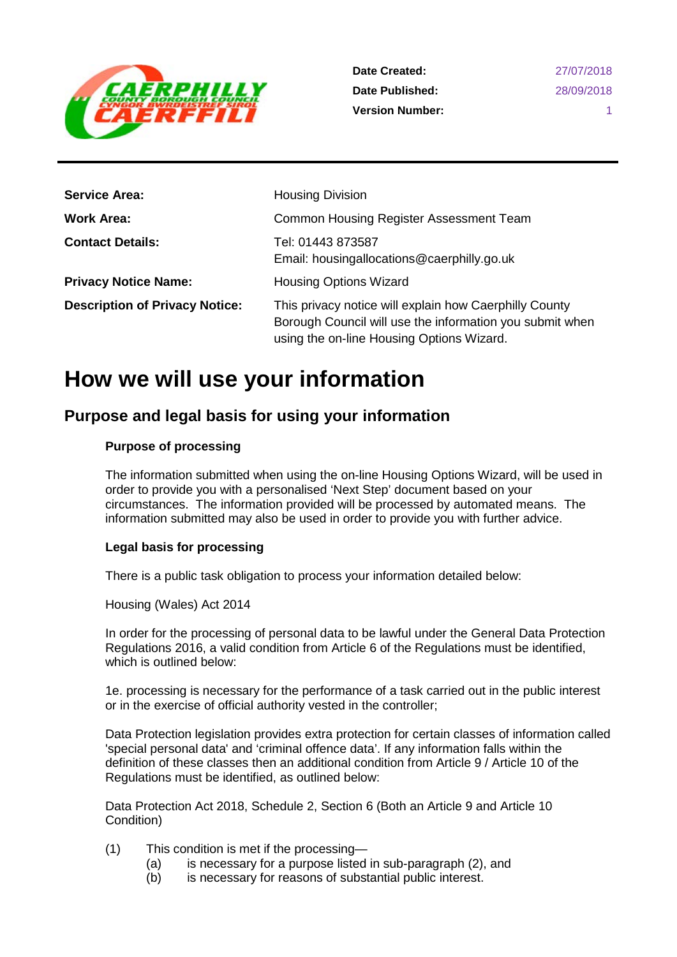

**Date Created: Date Published: Version Number:**

| <b>Service Area:</b>                  | <b>Housing Division</b>                                                                                                                                         |
|---------------------------------------|-----------------------------------------------------------------------------------------------------------------------------------------------------------------|
| <b>Work Area:</b>                     | Common Housing Register Assessment Team                                                                                                                         |
| <b>Contact Details:</b>               | Tel: 01443 873587<br>Email: housingallocations@caerphilly.go.uk                                                                                                 |
| <b>Privacy Notice Name:</b>           | <b>Housing Options Wizard</b>                                                                                                                                   |
| <b>Description of Privacy Notice:</b> | This privacy notice will explain how Caerphilly County<br>Borough Council will use the information you submit when<br>using the on-line Housing Options Wizard. |

# **How we will use your information**

## **Purpose and legal basis for using your information**

#### **Purpose of processing**

The information submitted when using the on-line Housing Options Wizard, will be used in order to provide you with a personalised 'Next Step' document based on your circumstances. The information provided will be processed by automated means. The information submitted may also be used in order to provide you with further advice.

#### **Legal basis for processing**

There is a public task obligation to process your information detailed below:

Housing (Wales) Act 2014

In order for the processing of personal data to be lawful under the General Data Protection Regulations 2016, a valid condition from Article 6 of the Regulations must be identified, which is outlined below:

1e. processing is necessary for the performance of a task carried out in the public interest or in the exercise of official authority vested in the controller;

Data Protection legislation provides extra protection for certain classes of information called 'special personal data' and 'criminal offence data'. If any information falls within the definition of these classes then an additional condition from Article 9 / Article 10 of the Regulations must be identified, as outlined below:

Data Protection Act 2018, Schedule 2, Section 6 (Both an Article 9 and Article 10 Condition)

- (1) This condition is met if the processing—
	- (a) is necessary for a purpose listed in sub-paragraph (2), and (b) is necessary for reasons of substantial public interest.
	- is necessary for reasons of substantial public interest.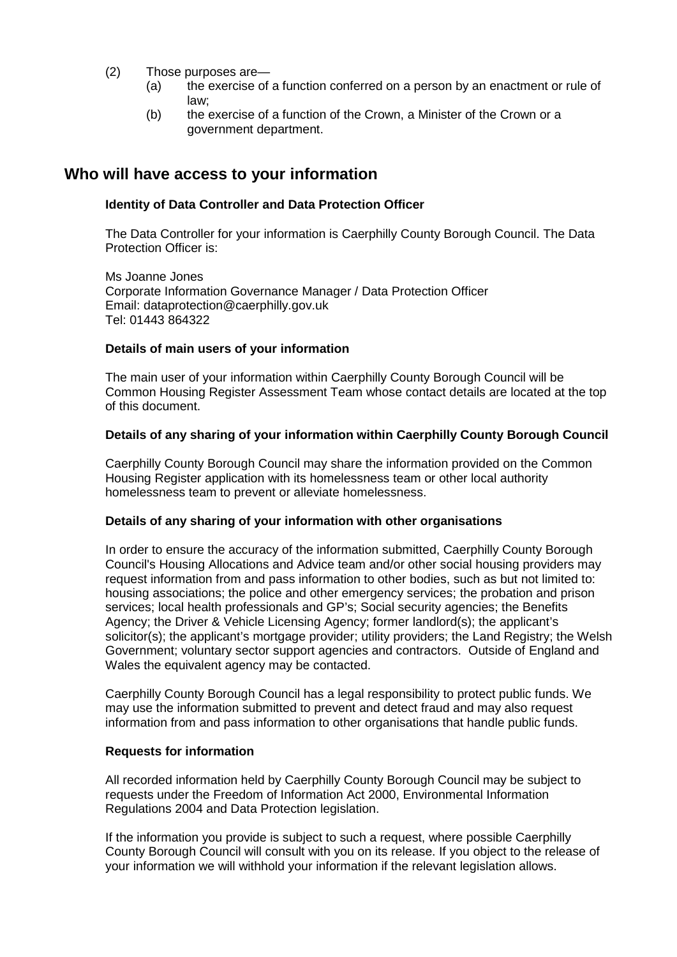- (2) Those purposes are—
	- (a) the exercise of a function conferred on a person by an enactment or rule of law;
	- (b) the exercise of a function of the Crown, a Minister of the Crown or a government department.

### **Who will have access to your information**

#### **Identity of Data Controller and Data Protection Officer**

The Data Controller for your information is Caerphilly County Borough Council. The Data Protection Officer is:

Ms Joanne Jones Corporate Information Governance Manager / Data Protection Officer Email: dataprotection@caerphilly.gov.uk Tel: 01443 864322

#### **Details of main users of your information**

The main user of your information within Caerphilly County Borough Council will be Common Housing Register Assessment Team whose contact details are located at the top of this document.

#### **Details of any sharing of your information within Caerphilly County Borough Council**

Caerphilly County Borough Council may share the information provided on the Common Housing Register application with its homelessness team or other local authority homelessness team to prevent or alleviate homelessness.

#### **Details of any sharing of your information with other organisations**

In order to ensure the accuracy of the information submitted, Caerphilly County Borough Council's Housing Allocations and Advice team and/or other social housing providers may request information from and pass information to other bodies, such as but not limited to: housing associations; the police and other emergency services; the probation and prison services; local health professionals and GP's; Social security agencies; the Benefits Agency; the Driver & Vehicle Licensing Agency; former landlord(s); the applicant's solicitor(s); the applicant's mortgage provider; utility providers; the Land Registry; the Welsh Government; voluntary sector support agencies and contractors. Outside of England and Wales the equivalent agency may be contacted.

Caerphilly County Borough Council has a legal responsibility to protect public funds. We may use the information submitted to prevent and detect fraud and may also request information from and pass information to other organisations that handle public funds.

#### **Requests for information**

All recorded information held by Caerphilly County Borough Council may be subject to requests under the Freedom of Information Act 2000, Environmental Information Regulations 2004 and Data Protection legislation.

If the information you provide is subject to such a request, where possible Caerphilly County Borough Council will consult with you on its release. If you object to the release of your information we will withhold your information if the relevant legislation allows.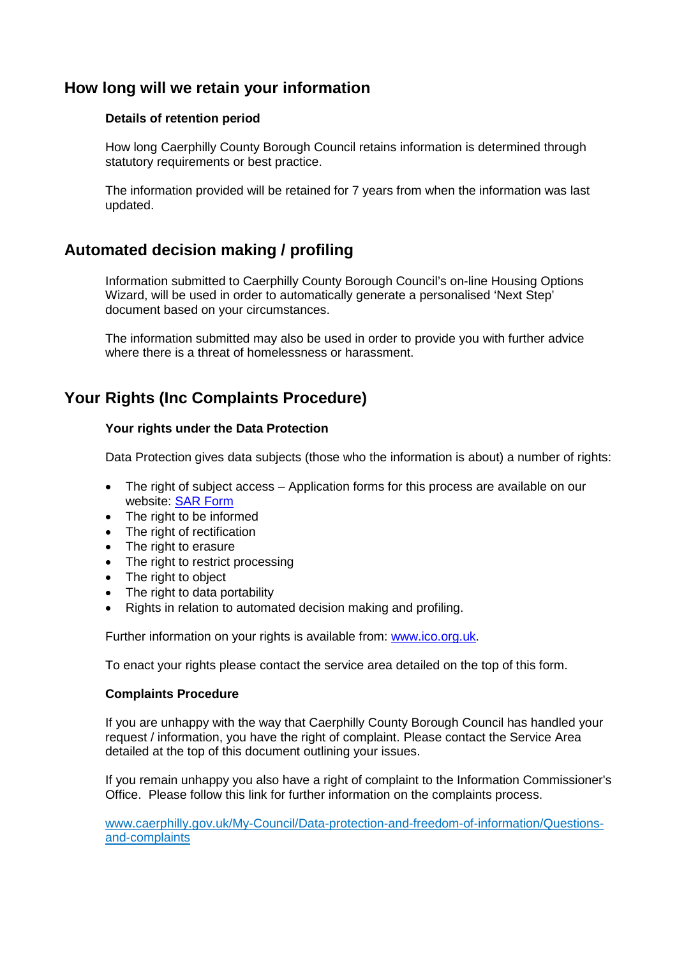## **How long will we retain your information**

#### **Details of retention period**

How long Caerphilly County Borough Council retains information is determined through statutory requirements or best practice.

The information provided will be retained for 7 years from when the information was last updated.

## **Automated decision making / profiling**

Information submitted to Caerphilly County Borough Council's on-line Housing Options Wizard, will be used in order to automatically generate a personalised 'Next Step' document based on your circumstances.

The information submitted may also be used in order to provide you with further advice where there is a threat of homelessness or harassment.

## **Your Rights (Inc Complaints Procedure)**

#### **Your rights under the Data Protection**

Data Protection gives data subjects (those who the information is about) a number of rights:

- The right of subject access Application forms for this process are available on our website: [SAR Form](http://www.caerphilly.gov.uk/CaerphillyDocs/Council-and-democracy/sar_form.aspx)
- The right to be informed
- The right of rectification
- The right to erasure
- The right to restrict processing
- The right to object
- The right to data portability
- Rights in relation to automated decision making and profiling.

Further information on your rights is available from: [www.ico.org.uk.](http://www.ico.org.uk/)

To enact your rights please contact the service area detailed on the top of this form.

#### **Complaints Procedure**

If you are unhappy with the way that Caerphilly County Borough Council has handled your request / information, you have the right of complaint. Please contact the Service Area detailed at the top of this document outlining your issues.

If you remain unhappy you also have a right of complaint to the Information Commissioner's Office. Please follow this link for further information on the complaints process.

[www.caerphilly.gov.uk/My-Council/Data-protection-and-freedom-of-information/Questions](http://www.caerphilly.gov.uk/My-Council/Data-protection-and-freedom-of-information/Questions-and-complaints)[and-complaints](http://www.caerphilly.gov.uk/My-Council/Data-protection-and-freedom-of-information/Questions-and-complaints)